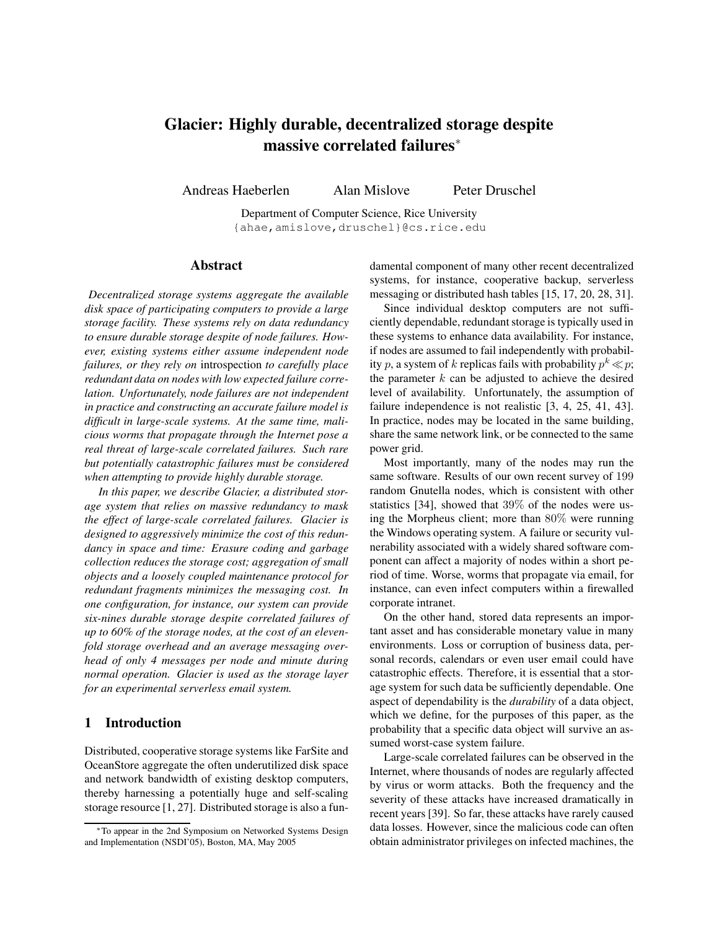# **Glacier: Highly durable, decentralized storage despite massive correlated failures**<sup>∗</sup>

Andreas Haeberlen Alan Mislove Peter Druschel

Department of Computer Science, Rice University {ahae,amislove,druschel}@cs.rice.edu

## **Abstract**

*Decentralized storage systems aggregate the available disk space of participating computers to provide a large storage facility. These systems rely on data redundancy to ensure durable storage despite of node failures. However, existing systems either assume independent node failures, or they rely on* introspection *to carefully place redundant data on nodes with low expected failure correlation. Unfortunately, node failures are not independent in practice and constructing an accurate failure model is difficult in large-scale systems. At the same time, malicious worms that propagate through the Internet pose a real threat of large-scale correlated failures. Such rare but potentially catastrophic failures must be considered when attempting to provide highly durable storage.*

*In this paper, we describe Glacier, a distributed storage system that relies on massive redundancy to mask the effect of large-scale correlated failures. Glacier is designed to aggressively minimize the cost of this redundancy in space and time: Erasure coding and garbage collection reduces the storage cost; aggregation of small objects and a loosely coupled maintenance protocol for redundant fragments minimizes the messaging cost. In one configuration, for instance, our system can provide six-nines durable storage despite correlated failures of up to 60% of the storage nodes, at the cost of an elevenfold storage overhead and an average messaging overhead of only 4 messages per node and minute during normal operation. Glacier is used as the storage layer for an experimental serverless email system.*

# **1 Introduction**

Distributed, cooperative storage systems like FarSite and OceanStore aggregate the often underutilized disk space and network bandwidth of existing desktop computers, thereby harnessing a potentially huge and self-scaling storage resource [1, 27]. Distributed storage is also a fundamental component of many other recent decentralized systems, for instance, cooperative backup, serverless messaging or distributed hash tables [15, 17, 20, 28, 31].

Since individual desktop computers are not sufficiently dependable, redundant storage is typically used in these systems to enhance data availability. For instance, if nodes are assumed to fail independently with probability p, a system of k replicas fails with probability  $p^k \ll p$ ; the parameter  $k$  can be adjusted to achieve the desired level of availability. Unfortunately, the assumption of failure independence is not realistic [3, 4, 25, 41, 43]. In practice, nodes may be located in the same building, share the same network link, or be connected to the same power grid.

Most importantly, many of the nodes may run the same software. Results of our own recent survey of 199 random Gnutella nodes, which is consistent with other statistics [34], showed that 39% of the nodes were using the Morpheus client; more than 80% were running the Windows operating system. A failure or security vulnerability associated with a widely shared software component can affect a majority of nodes within a short period of time. Worse, worms that propagate via email, for instance, can even infect computers within a firewalled corporate intranet.

On the other hand, stored data represents an important asset and has considerable monetary value in many environments. Loss or corruption of business data, personal records, calendars or even user email could have catastrophic effects. Therefore, it is essential that a storage system for such data be sufficiently dependable. One aspect of dependability is the *durability* of a data object, which we define, for the purposes of this paper, as the probability that a specific data object will survive an assumed worst-case system failure.

Large-scale correlated failures can be observed in the Internet, where thousands of nodes are regularly affected by virus or worm attacks. Both the frequency and the severity of these attacks have increased dramatically in recent years [39]. So far, these attacks have rarely caused data losses. However, since the malicious code can often obtain administrator privileges on infected machines, the

<sup>∗</sup>To appear in the 2nd Symposium on Networked Systems Design and Implementation (NSDI'05), Boston, MA, May 2005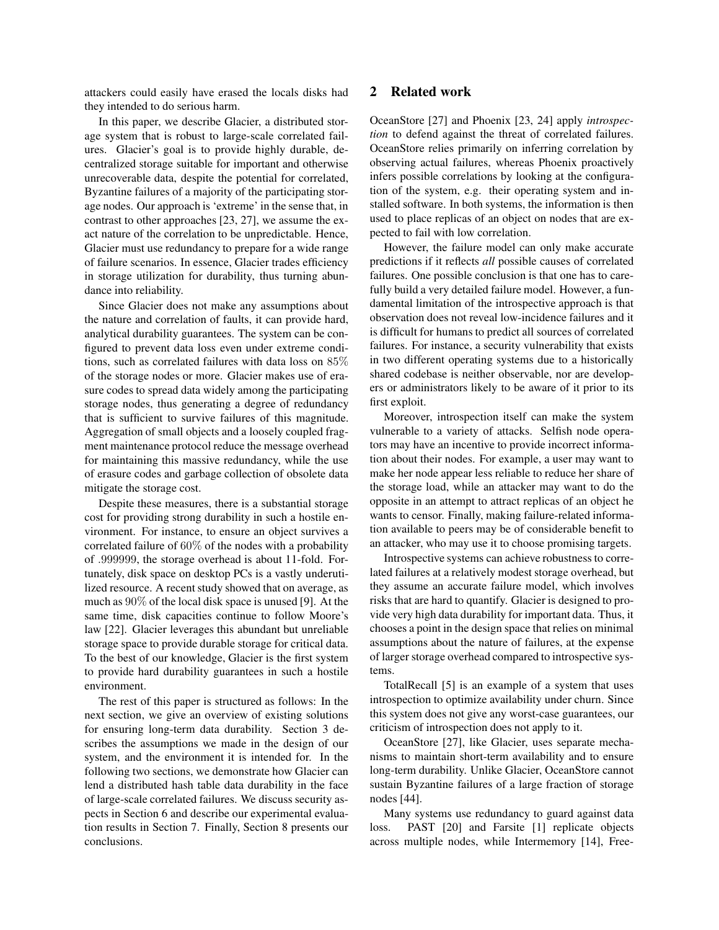attackers could easily have erased the locals disks had they intended to do serious harm.

In this paper, we describe Glacier, a distributed storage system that is robust to large-scale correlated failures. Glacier's goal is to provide highly durable, decentralized storage suitable for important and otherwise unrecoverable data, despite the potential for correlated, Byzantine failures of a majority of the participating storage nodes. Our approach is 'extreme' in the sense that, in contrast to other approaches [23, 27], we assume the exact nature of the correlation to be unpredictable. Hence, Glacier must use redundancy to prepare for a wide range of failure scenarios. In essence, Glacier trades efficiency in storage utilization for durability, thus turning abundance into reliability.

Since Glacier does not make any assumptions about the nature and correlation of faults, it can provide hard, analytical durability guarantees. The system can be configured to prevent data loss even under extreme conditions, such as correlated failures with data loss on 85% of the storage nodes or more. Glacier makes use of erasure codes to spread data widely among the participating storage nodes, thus generating a degree of redundancy that is sufficient to survive failures of this magnitude. Aggregation of small objects and a loosely coupled fragment maintenance protocol reduce the message overhead for maintaining this massive redundancy, while the use of erasure codes and garbage collection of obsolete data mitigate the storage cost.

Despite these measures, there is a substantial storage cost for providing strong durability in such a hostile environment. For instance, to ensure an object survives a correlated failure of 60% of the nodes with a probability of .999999, the storage overhead is about 11-fold. Fortunately, disk space on desktop PCs is a vastly underutilized resource. A recent study showed that on average, as much as 90% of the local disk space is unused [9]. At the same time, disk capacities continue to follow Moore's law [22]. Glacier leverages this abundant but unreliable storage space to provide durable storage for critical data. To the best of our knowledge, Glacier is the first system to provide hard durability guarantees in such a hostile environment.

The rest of this paper is structured as follows: In the next section, we give an overview of existing solutions for ensuring long-term data durability. Section 3 describes the assumptions we made in the design of our system, and the environment it is intended for. In the following two sections, we demonstrate how Glacier can lend a distributed hash table data durability in the face of large-scale correlated failures. We discuss security aspects in Section 6 and describe our experimental evaluation results in Section 7. Finally, Section 8 presents our conclusions.

## **2 Related work**

OceanStore [27] and Phoenix [23, 24] apply *introspection* to defend against the threat of correlated failures. OceanStore relies primarily on inferring correlation by observing actual failures, whereas Phoenix proactively infers possible correlations by looking at the configuration of the system, e.g. their operating system and installed software. In both systems, the information is then used to place replicas of an object on nodes that are expected to fail with low correlation.

However, the failure model can only make accurate predictions if it reflects *all* possible causes of correlated failures. One possible conclusion is that one has to carefully build a very detailed failure model. However, a fundamental limitation of the introspective approach is that observation does not reveal low-incidence failures and it is difficult for humans to predict all sources of correlated failures. For instance, a security vulnerability that exists in two different operating systems due to a historically shared codebase is neither observable, nor are developers or administrators likely to be aware of it prior to its first exploit.

Moreover, introspection itself can make the system vulnerable to a variety of attacks. Selfish node operators may have an incentive to provide incorrect information about their nodes. For example, a user may want to make her node appear less reliable to reduce her share of the storage load, while an attacker may want to do the opposite in an attempt to attract replicas of an object he wants to censor. Finally, making failure-related information available to peers may be of considerable benefit to an attacker, who may use it to choose promising targets.

Introspective systems can achieve robustness to correlated failures at a relatively modest storage overhead, but they assume an accurate failure model, which involves risks that are hard to quantify. Glacier is designed to provide very high data durability for important data. Thus, it chooses a point in the design space that relies on minimal assumptions about the nature of failures, at the expense of larger storage overhead compared to introspective systems.

TotalRecall [5] is an example of a system that uses introspection to optimize availability under churn. Since this system does not give any worst-case guarantees, our criticism of introspection does not apply to it.

OceanStore [27], like Glacier, uses separate mechanisms to maintain short-term availability and to ensure long-term durability. Unlike Glacier, OceanStore cannot sustain Byzantine failures of a large fraction of storage nodes [44].

Many systems use redundancy to guard against data loss. PAST [20] and Farsite [1] replicate objects across multiple nodes, while Intermemory [14], Free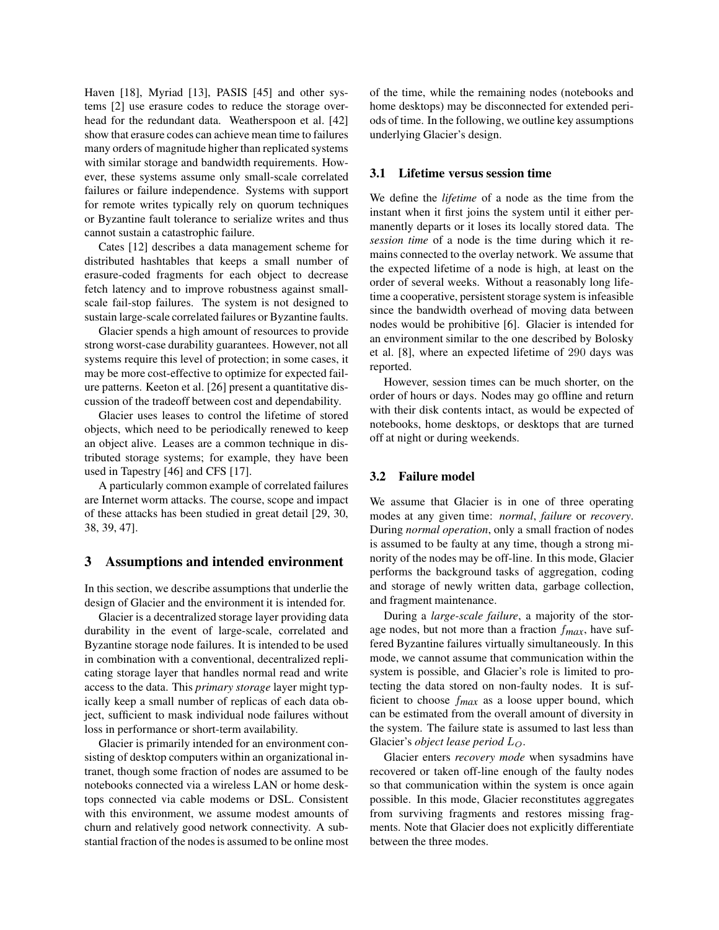Haven [18], Myriad [13], PASIS [45] and other systems [2] use erasure codes to reduce the storage overhead for the redundant data. Weatherspoon et al. [42] show that erasure codes can achieve mean time to failures many orders of magnitude higher than replicated systems with similar storage and bandwidth requirements. However, these systems assume only small-scale correlated failures or failure independence. Systems with support for remote writes typically rely on quorum techniques or Byzantine fault tolerance to serialize writes and thus cannot sustain a catastrophic failure.

Cates [12] describes a data management scheme for distributed hashtables that keeps a small number of erasure-coded fragments for each object to decrease fetch latency and to improve robustness against smallscale fail-stop failures. The system is not designed to sustain large-scale correlated failures or Byzantine faults.

Glacier spends a high amount of resources to provide strong worst-case durability guarantees. However, not all systems require this level of protection; in some cases, it may be more cost-effective to optimize for expected failure patterns. Keeton et al. [26] present a quantitative discussion of the tradeoff between cost and dependability.

Glacier uses leases to control the lifetime of stored objects, which need to be periodically renewed to keep an object alive. Leases are a common technique in distributed storage systems; for example, they have been used in Tapestry [46] and CFS [17].

A particularly common example of correlated failures are Internet worm attacks. The course, scope and impact of these attacks has been studied in great detail [29, 30, 38, 39, 47].

#### **3 Assumptions and intended environment**

In this section, we describe assumptions that underlie the design of Glacier and the environment it is intended for.

Glacier is a decentralized storage layer providing data durability in the event of large-scale, correlated and Byzantine storage node failures. It is intended to be used in combination with a conventional, decentralized replicating storage layer that handles normal read and write access to the data. This *primary storage* layer might typically keep a small number of replicas of each data object, sufficient to mask individual node failures without loss in performance or short-term availability.

Glacier is primarily intended for an environment consisting of desktop computers within an organizational intranet, though some fraction of nodes are assumed to be notebooks connected via a wireless LAN or home desktops connected via cable modems or DSL. Consistent with this environment, we assume modest amounts of churn and relatively good network connectivity. A substantial fraction of the nodes is assumed to be online most of the time, while the remaining nodes (notebooks and home desktops) may be disconnected for extended periods of time. In the following, we outline key assumptions underlying Glacier's design.

#### **3.1 Lifetime versus session time**

We define the *lifetime* of a node as the time from the instant when it first joins the system until it either permanently departs or it loses its locally stored data. The *session time* of a node is the time during which it remains connected to the overlay network. We assume that the expected lifetime of a node is high, at least on the order of several weeks. Without a reasonably long lifetime a cooperative, persistent storage system is infeasible since the bandwidth overhead of moving data between nodes would be prohibitive [6]. Glacier is intended for an environment similar to the one described by Bolosky et al. [8], where an expected lifetime of 290 days was reported.

However, session times can be much shorter, on the order of hours or days. Nodes may go offline and return with their disk contents intact, as would be expected of notebooks, home desktops, or desktops that are turned off at night or during weekends.

#### **3.2 Failure model**

We assume that Glacier is in one of three operating modes at any given time: *normal*, *failure* or *recovery*. During *normal operation*, only a small fraction of nodes is assumed to be faulty at any time, though a strong minority of the nodes may be off-line. In this mode, Glacier performs the background tasks of aggregation, coding and storage of newly written data, garbage collection, and fragment maintenance.

During a *large-scale failure*, a majority of the storage nodes, but not more than a fraction f*max*, have suffered Byzantine failures virtually simultaneously. In this mode, we cannot assume that communication within the system is possible, and Glacier's role is limited to protecting the data stored on non-faulty nodes. It is sufficient to choose f*max* as a loose upper bound, which can be estimated from the overall amount of diversity in the system. The failure state is assumed to last less than Glacier's *object lease period* LO.

Glacier enters *recovery mode* when sysadmins have recovered or taken off-line enough of the faulty nodes so that communication within the system is once again possible. In this mode, Glacier reconstitutes aggregates from surviving fragments and restores missing fragments. Note that Glacier does not explicitly differentiate between the three modes.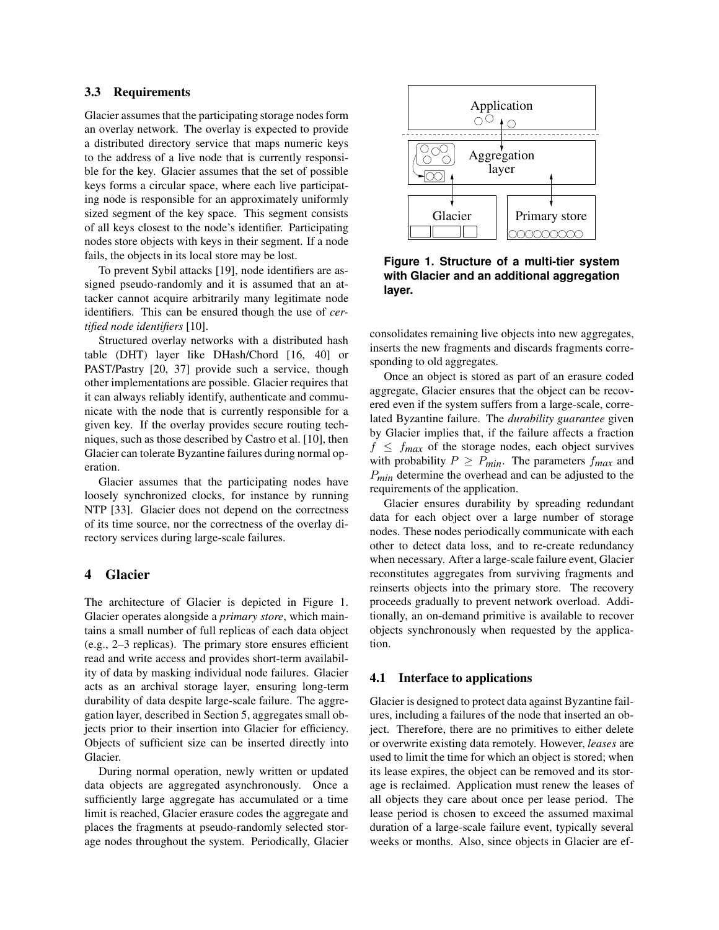#### **3.3 Requirements**

Glacier assumes that the participating storage nodes form an overlay network. The overlay is expected to provide a distributed directory service that maps numeric keys to the address of a live node that is currently responsible for the key. Glacier assumes that the set of possible keys forms a circular space, where each live participating node is responsible for an approximately uniformly sized segment of the key space. This segment consists of all keys closest to the node's identifier. Participating nodes store objects with keys in their segment. If a node fails, the objects in its local store may be lost.

To prevent Sybil attacks [19], node identifiers are assigned pseudo-randomly and it is assumed that an attacker cannot acquire arbitrarily many legitimate node identifiers. This can be ensured though the use of *certified node identifiers* [10].

Structured overlay networks with a distributed hash table (DHT) layer like DHash/Chord [16, 40] or PAST/Pastry [20, 37] provide such a service, though other implementations are possible. Glacier requires that it can always reliably identify, authenticate and communicate with the node that is currently responsible for a given key. If the overlay provides secure routing techniques, such as those described by Castro et al. [10], then Glacier can tolerate Byzantine failures during normal operation.

Glacier assumes that the participating nodes have loosely synchronized clocks, for instance by running NTP [33]. Glacier does not depend on the correctness of its time source, nor the correctness of the overlay directory services during large-scale failures.

## **4 Glacier**

The architecture of Glacier is depicted in Figure 1. Glacier operates alongside a *primary store*, which maintains a small number of full replicas of each data object (e.g., 2–3 replicas). The primary store ensures efficient read and write access and provides short-term availability of data by masking individual node failures. Glacier acts as an archival storage layer, ensuring long-term durability of data despite large-scale failure. The aggregation layer, described in Section 5, aggregates small objects prior to their insertion into Glacier for efficiency. Objects of sufficient size can be inserted directly into Glacier.

During normal operation, newly written or updated data objects are aggregated asynchronously. Once a sufficiently large aggregate has accumulated or a time limit is reached, Glacier erasure codes the aggregate and places the fragments at pseudo-randomly selected storage nodes throughout the system. Periodically, Glacier



**Figure 1. Structure of a multi-tier system with Glacier and an additional aggregation layer.**

consolidates remaining live objects into new aggregates, inserts the new fragments and discards fragments corresponding to old aggregates.

Once an object is stored as part of an erasure coded aggregate, Glacier ensures that the object can be recovered even if the system suffers from a large-scale, correlated Byzantine failure. The *durability guarantee* given by Glacier implies that, if the failure affects a fraction  $f \leq f_{max}$  of the storage nodes, each object survives with probability  $P \ge P_{min}$ . The parameters  $f_{max}$  and P*min* determine the overhead and can be adjusted to the requirements of the application.

Glacier ensures durability by spreading redundant data for each object over a large number of storage nodes. These nodes periodically communicate with each other to detect data loss, and to re-create redundancy when necessary. After a large-scale failure event, Glacier reconstitutes aggregates from surviving fragments and reinserts objects into the primary store. The recovery proceeds gradually to prevent network overload. Additionally, an on-demand primitive is available to recover objects synchronously when requested by the application.

#### **4.1 Interface to applications**

Glacier is designed to protect data against Byzantine failures, including a failures of the node that inserted an object. Therefore, there are no primitives to either delete or overwrite existing data remotely. However, *leases* are used to limit the time for which an object is stored; when its lease expires, the object can be removed and its storage is reclaimed. Application must renew the leases of all objects they care about once per lease period. The lease period is chosen to exceed the assumed maximal duration of a large-scale failure event, typically several weeks or months. Also, since objects in Glacier are ef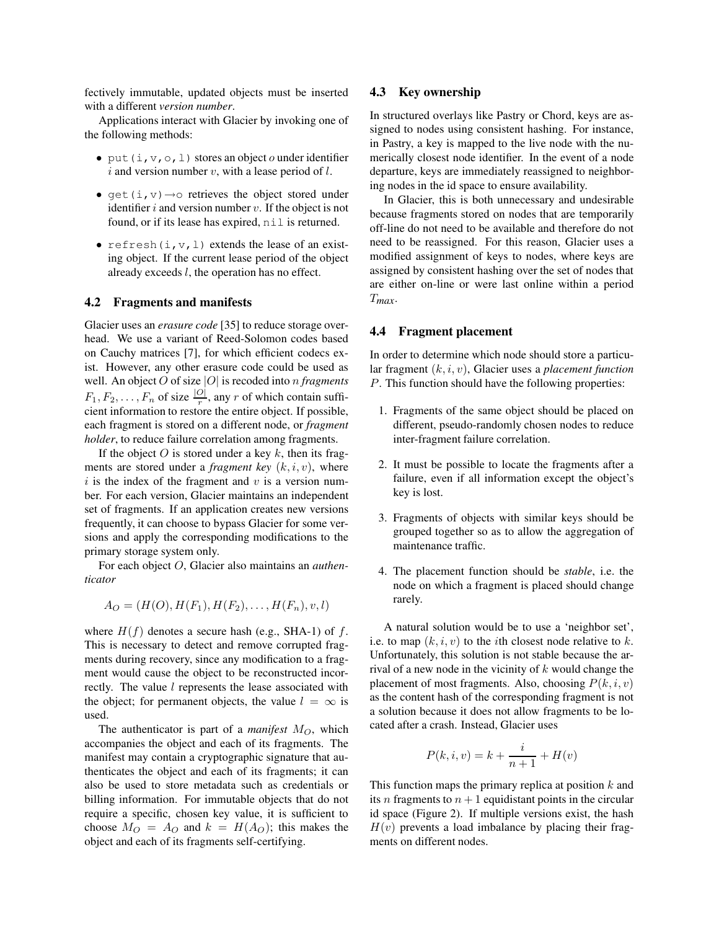fectively immutable, updated objects must be inserted with a different *version number*.

Applications interact with Glacier by invoking one of the following methods:

- put  $(i, v, o, l)$  stores an object o under identifier i and version number v, with a lease period of  $l$ .
- get(i,  $v$ )  $\rightarrow$  o retrieves the object stored under identifier  $i$  and version number  $v$ . If the object is not found, or if its lease has expired,  $n \in \mathbb{I}$  is returned.
- refresh $(i, v, l)$  extends the lease of an existing object. If the current lease period of the object already exceeds  $l$ , the operation has no effect.

#### **4.2 Fragments and manifests**

Glacier uses an *erasure code* [35] to reduce storage overhead. We use a variant of Reed-Solomon codes based on Cauchy matrices [7], for which efficient codecs exist. However, any other erasure code could be used as well. An object O of size |O| is recoded into n *fragments*  $F_1, F_2, \ldots, F_n$  of size  $\frac{|O|}{r}$ , any r of which contain sufficient information to restore the entire object. If possible, each fragment is stored on a different node, or *fragment holder*, to reduce failure correlation among fragments.

If the object O is stored under a key  $k$ , then its fragments are stored under a *fragment key*  $(k, i, v)$ , where  $i$  is the index of the fragment and  $v$  is a version number. For each version, Glacier maintains an independent set of fragments. If an application creates new versions frequently, it can choose to bypass Glacier for some versions and apply the corresponding modifications to the primary storage system only.

For each object O, Glacier also maintains an *authenticator*

$$
A_O = (H(O), H(F_1), H(F_2), \dots, H(F_n), v, l)
$$

where  $H(f)$  denotes a secure hash (e.g., SHA-1) of f. This is necessary to detect and remove corrupted fragments during recovery, since any modification to a fragment would cause the object to be reconstructed incorrectly. The value *l* represents the lease associated with the object; for permanent objects, the value  $l = \infty$  is used.

The authenticator is part of a *manifest*  $M_O$ , which accompanies the object and each of its fragments. The manifest may contain a cryptographic signature that authenticates the object and each of its fragments; it can also be used to store metadata such as credentials or billing information. For immutable objects that do not require a specific, chosen key value, it is sufficient to choose  $M_O = A_O$  and  $k = H(A_O)$ ; this makes the object and each of its fragments self-certifying.

#### **4.3 Key ownership**

In structured overlays like Pastry or Chord, keys are assigned to nodes using consistent hashing. For instance, in Pastry, a key is mapped to the live node with the numerically closest node identifier. In the event of a node departure, keys are immediately reassigned to neighboring nodes in the id space to ensure availability.

In Glacier, this is both unnecessary and undesirable because fragments stored on nodes that are temporarily off-line do not need to be available and therefore do not need to be reassigned. For this reason, Glacier uses a modified assignment of keys to nodes, where keys are assigned by consistent hashing over the set of nodes that are either on-line or were last online within a period T*max*.

#### **4.4 Fragment placement**

In order to determine which node should store a particular fragment (k,i, v), Glacier uses a *placement function* P. This function should have the following properties:

- 1. Fragments of the same object should be placed on different, pseudo-randomly chosen nodes to reduce inter-fragment failure correlation.
- 2. It must be possible to locate the fragments after a failure, even if all information except the object's key is lost.
- 3. Fragments of objects with similar keys should be grouped together so as to allow the aggregation of maintenance traffic.
- 4. The placement function should be *stable*, i.e. the node on which a fragment is placed should change rarely.

A natural solution would be to use a 'neighbor set', i.e. to map  $(k, i, v)$  to the *i*th closest node relative to k. Unfortunately, this solution is not stable because the arrival of a new node in the vicinity of  $k$  would change the placement of most fragments. Also, choosing  $P(k, i, v)$ as the content hash of the corresponding fragment is not a solution because it does not allow fragments to be located after a crash. Instead, Glacier uses

$$
P(k, i, v) = k + \frac{i}{n+1} + H(v)
$$

This function maps the primary replica at position  $k$  and its n fragments to  $n + 1$  equidistant points in the circular id space (Figure 2). If multiple versions exist, the hash  $H(v)$  prevents a load imbalance by placing their fragments on different nodes.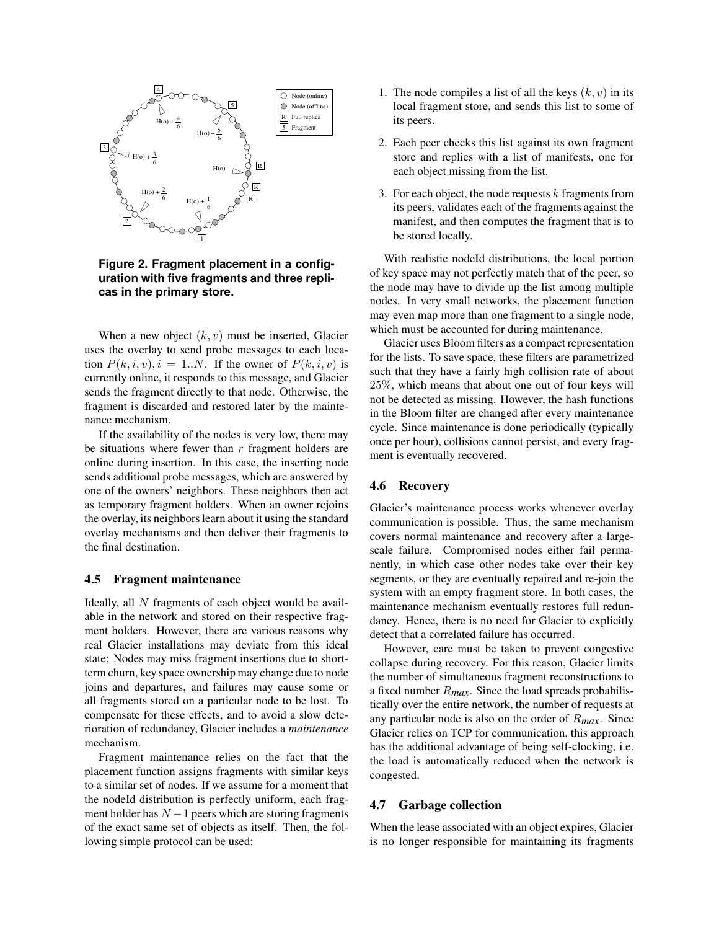

**Figure 2. Fragment placement in a configuration with five fragments and three replicas in the primary store.**

When a new object  $(k, v)$  must be inserted, Glacier uses the overlay to send probe messages to each location  $P(k,i,v), i = 1..N$ . If the owner of  $P(k,i,v)$  is currently online, it responds to this message, and Glacier sends the fragment directly to that node. Otherwise, the fragment is discarded and restored later by the maintenance mechanism.

If the availability of the nodes is very low, there may be situations where fewer than  $r$  fragment holders are online during insertion. In this case, the inserting node sends additional probe messages, which are answered by one of the owners' neighbors. These neighbors then act as temporary fragment holders. When an owner rejoins the overlay, its neighbors learn about it using the standard overlay mechanisms and then deliver their fragments to the final destination.

#### **4.5 Fragment maintenance**

Ideally, all N fragments of each object would be available in the network and stored on their respective fragment holders. However, there are various reasons why real Glacier installations may deviate from this ideal state: Nodes may miss fragment insertions due to shortterm churn, key space ownership may change due to node joins and departures, and failures may cause some or all fragments stored on a particular node to be lost. To compensate for these effects, and to avoid a slow deterioration of redundancy, Glacier includes a *maintenance* mechanism.

Fragment maintenance relies on the fact that the placement function assigns fragments with similar keys to a similar set of nodes. If we assume for a moment that the nodeId distribution is perfectly uniform, each fragment holder has  $N - 1$  peers which are storing fragments of the exact same set of objects as itself. Then, the following simple protocol can be used:

- 1. The node compiles a list of all the keys  $(k, v)$  in its local fragment store, and sends this list to some of its peers.
- 2. Each peer checks this list against its own fragment store and replies with a list of manifests, one for each object missing from the list.
- 3. For each object, the node requests  $k$  fragments from its peers, validates each of the fragments against the manifest, and then computes the fragment that is to be stored locally.

With realistic nodeId distributions, the local portion of key space may not perfectly match that of the peer, so the node may have to divide up the list among multiple nodes. In very small networks, the placement function may even map more than one fragment to a single node, which must be accounted for during maintenance.

Glacier uses Bloom filters as a compact representation for the lists. To save space, these filters are parametrized such that they have a fairly high collision rate of about 25%, which means that about one out of four keys will not be detected as missing. However, the hash functions in the Bloom filter are changed after every maintenance cycle. Since maintenance is done periodically (typically once per hour), collisions cannot persist, and every fragment is eventually recovered.

#### **4.6 Recovery**

Glacier's maintenance process works whenever overlay communication is possible. Thus, the same mechanism covers normal maintenance and recovery after a largescale failure. Compromised nodes either fail permanently, in which case other nodes take over their key segments, or they are eventually repaired and re-join the system with an empty fragment store. In both cases, the maintenance mechanism eventually restores full redundancy. Hence, there is no need for Glacier to explicitly detect that a correlated failure has occurred.

However, care must be taken to prevent congestive collapse during recovery. For this reason, Glacier limits the number of simultaneous fragment reconstructions to a fixed number R*max*. Since the load spreads probabilistically over the entire network, the number of requests at any particular node is also on the order of R*max*. Since Glacier relies on TCP for communication, this approach has the additional advantage of being self-clocking, i.e. the load is automatically reduced when the network is congested.

#### **4.7 Garbage collection**

When the lease associated with an object expires, Glacier is no longer responsible for maintaining its fragments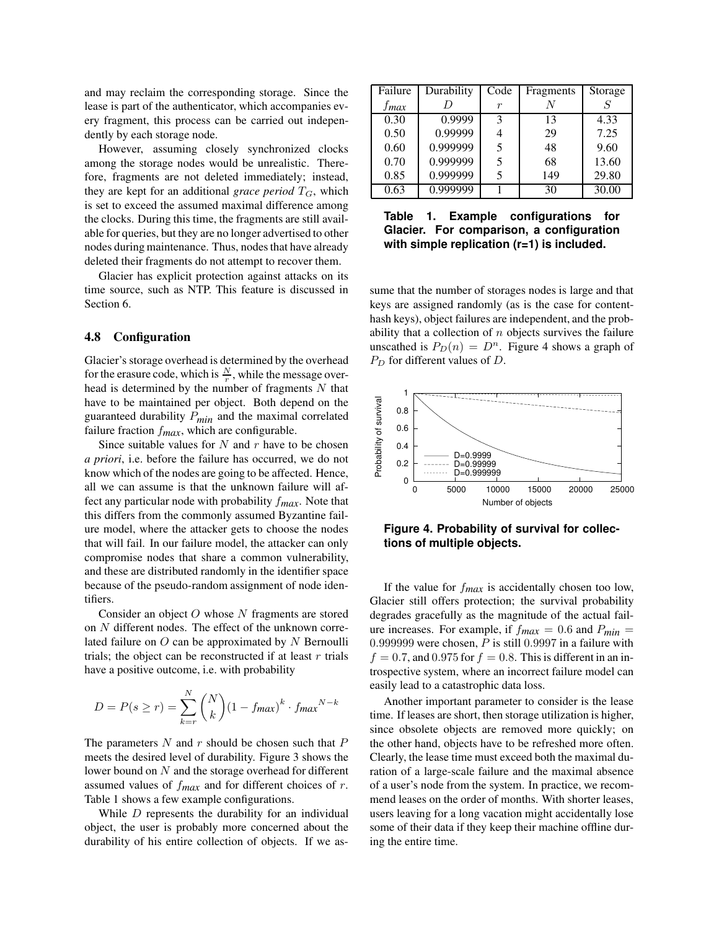and may reclaim the corresponding storage. Since the lease is part of the authenticator, which accompanies every fragment, this process can be carried out independently by each storage node.

However, assuming closely synchronized clocks among the storage nodes would be unrealistic. Therefore, fragments are not deleted immediately; instead, they are kept for an additional *grace period*  $T_G$ , which is set to exceed the assumed maximal difference among the clocks. During this time, the fragments are still available for queries, but they are no longer advertised to other nodes during maintenance. Thus, nodes that have already deleted their fragments do not attempt to recover them.

Glacier has explicit protection against attacks on its time source, such as NTP. This feature is discussed in Section 6.

#### **4.8 Configuration**

Glacier's storage overhead is determined by the overhead for the erasure code, which is  $\frac{N}{r}$ , while the message overhead is determined by the number of fragments  $N$  that have to be maintained per object. Both depend on the guaranteed durability P*min* and the maximal correlated failure fraction f*max*, which are configurable.

Since suitable values for  $N$  and  $r$  have to be chosen *a priori*, i.e. before the failure has occurred, we do not know which of the nodes are going to be affected. Hence, all we can assume is that the unknown failure will affect any particular node with probability f*max*. Note that this differs from the commonly assumed Byzantine failure model, where the attacker gets to choose the nodes that will fail. In our failure model, the attacker can only compromise nodes that share a common vulnerability, and these are distributed randomly in the identifier space because of the pseudo-random assignment of node identifiers.

Consider an object O whose N fragments are stored on N different nodes. The effect of the unknown correlated failure on  $O$  can be approximated by  $N$  Bernoulli trials; the object can be reconstructed if at least  $r$  trials have a positive outcome, i.e. with probability

$$
D = P(s \ge r) = \sum_{k=r}^{N} {N \choose k} (1 - f_{max})^k \cdot f_{max}^{N-k}
$$

The parameters  $N$  and  $r$  should be chosen such that  $P$ meets the desired level of durability. Figure 3 shows the lower bound on N and the storage overhead for different assumed values of f*max* and for different choices of r. Table 1 shows a few example configurations.

While  $D$  represents the durability for an individual object, the user is probably more concerned about the durability of his entire collection of objects. If we as-

| Failure   | Durability | Code | Fragments | Storage |
|-----------|------------|------|-----------|---------|
| $f_{max}$ |            | r    |           |         |
| 0.30      | 0.9999     | 3    | 13        | 4.33    |
| 0.50      | 0.99999    | 4    | 29        | 7.25    |
| 0.60      | 0.999999   | 5    | 48        | 9.60    |
| 0.70      | 0.999999   | 5    | 68        | 13.60   |
| 0.85      | 0.999999   | 5    | 149       | 29.80   |
| 0.63      | 0.999999   |      | 30        | 30.00   |

**Table 1. Example configurations for Glacier. For comparison, a configuration with simple replication (r=1) is included.**

sume that the number of storages nodes is large and that keys are assigned randomly (as is the case for contenthash keys), object failures are independent, and the probability that a collection of  $n$  objects survives the failure unscathed is  $P_D(n) = D^n$ . Figure 4 shows a graph of  $P_D$  for different values of  $D$ .



**Figure 4. Probability of survival for collections of multiple objects.**

If the value for f*max* is accidentally chosen too low, Glacier still offers protection; the survival probability degrades gracefully as the magnitude of the actual failure increases. For example, if  $f_{max} = 0.6$  and  $P_{min} =$ 0.999999 were chosen,  $P$  is still 0.9997 in a failure with  $f = 0.7$ , and 0.975 for  $f = 0.8$ . This is different in an introspective system, where an incorrect failure model can easily lead to a catastrophic data loss.

Another important parameter to consider is the lease time. If leases are short, then storage utilization is higher, since obsolete objects are removed more quickly; on the other hand, objects have to be refreshed more often. Clearly, the lease time must exceed both the maximal duration of a large-scale failure and the maximal absence of a user's node from the system. In practice, we recommend leases on the order of months. With shorter leases, users leaving for a long vacation might accidentally lose some of their data if they keep their machine offline during the entire time.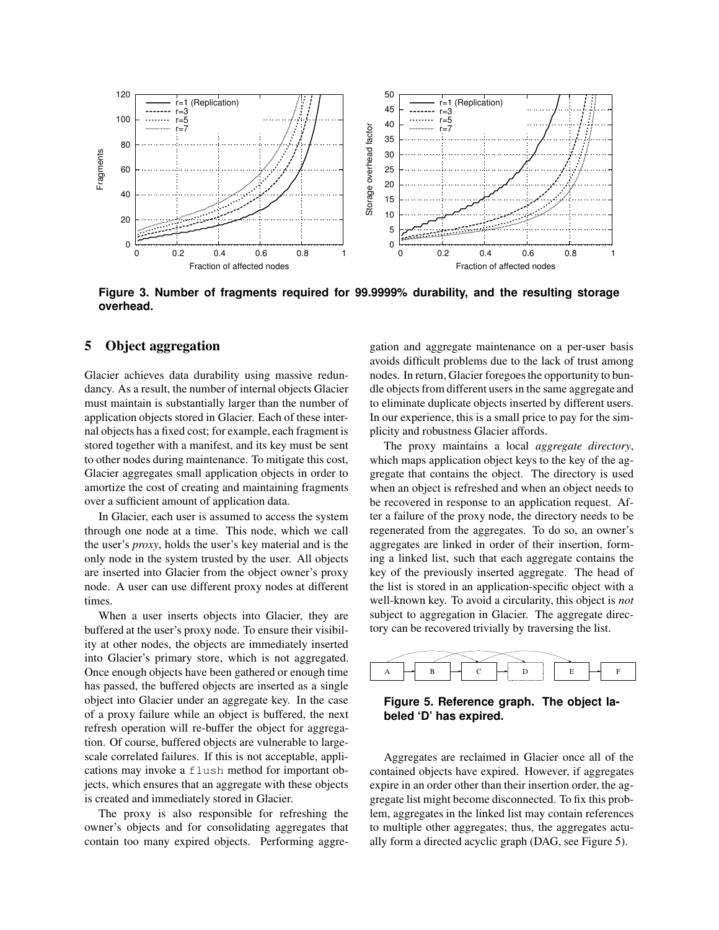

**Figure 3. Number of fragments required for 99.9999% durability, and the resulting storage overhead.**

## **5 Object aggregation**

Glacier achieves data durability using massive redundancy. As a result, the number of internal objects Glacier must maintain is substantially larger than the number of application objects stored in Glacier. Each of these internal objects has a fixed cost; for example, each fragment is stored together with a manifest, and its key must be sent to other nodes during maintenance. To mitigate this cost, Glacier aggregates small application objects in order to amortize the cost of creating and maintaining fragments over a sufficient amount of application data.

In Glacier, each user is assumed to access the system through one node at a time. This node, which we call the user's *proxy*, holds the user's key material and is the only node in the system trusted by the user. All objects are inserted into Glacier from the object owner's proxy node. A user can use different proxy nodes at different times.

When a user inserts objects into Glacier, they are buffered at the user's proxy node. To ensure their visibility at other nodes, the objects are immediately inserted into Glacier's primary store, which is not aggregated. Once enough objects have been gathered or enough time has passed, the buffered objects are inserted as a single object into Glacier under an aggregate key. In the case of a proxy failure while an object is buffered, the next refresh operation will re-buffer the object for aggregation. Of course, buffered objects are vulnerable to largescale correlated failures. If this is not acceptable, applications may invoke a flush method for important objects, which ensures that an aggregate with these objects is created and immediately stored in Glacier.

The proxy is also responsible for refreshing the owner's objects and for consolidating aggregates that contain too many expired objects. Performing aggregation and aggregate maintenance on a per-user basis avoids difficult problems due to the lack of trust among nodes. In return, Glacier foregoes the opportunity to bundle objectsfrom different users in the same aggregate and to eliminate duplicate objects inserted by different users. In our experience, this is a small price to pay for the simplicity and robustness Glacier affords.

The proxy maintains a local *aggregate directory*, which maps application object keys to the key of the aggregate that contains the object. The directory is used when an object is refreshed and when an object needs to be recovered in response to an application request. After a failure of the proxy node, the directory needs to be regenerated from the aggregates. To do so, an owner's aggregates are linked in order of their insertion, forming a linked list, such that each aggregate contains the key of the previously inserted aggregate. The head of the list is stored in an application-specific object with a well-known key. To avoid a circularity, this object is *not* subject to aggregation in Glacier. The aggregate directory can be recovered trivially by traversing the list.



## **Figure 5. Reference graph. The object labeled 'D' has expired.**

Aggregates are reclaimed in Glacier once all of the contained objects have expired. However, if aggregates expire in an order other than their insertion order, the aggregate list might become disconnected. To fix this problem, aggregates in the linked list may contain references to multiple other aggregates; thus, the aggregates actually form a directed acyclic graph (DAG, see Figure 5).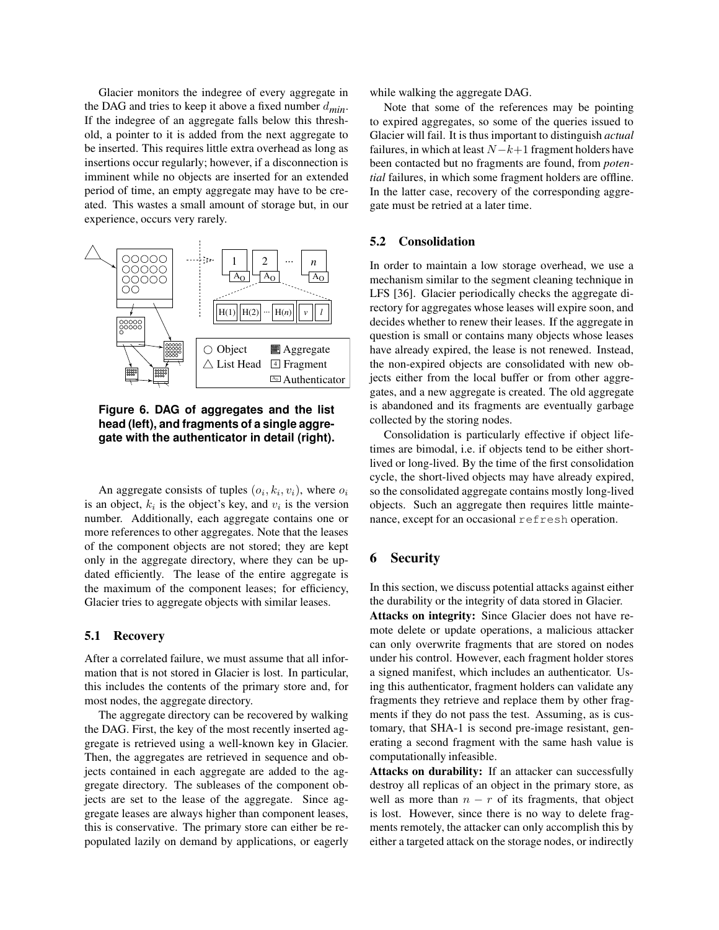Glacier monitors the indegree of every aggregate in the DAG and tries to keep it above a fixed number  $d_{min}$ . If the indegree of an aggregate falls below this threshold, a pointer to it is added from the next aggregate to be inserted. This requires little extra overhead as long as insertions occur regularly; however, if a disconnection is imminent while no objects are inserted for an extended period of time, an empty aggregate may have to be created. This wastes a small amount of storage but, in our experience, occurs very rarely.



**Figure 6. DAG of aggregates and the list head (left), and fragments of a single aggregate with the authenticator in detail (right).**

An aggregate consists of tuples  $(o_i, k_i, v_i)$ , where  $o_i$ is an object,  $k_i$  is the object's key, and  $v_i$  is the version number. Additionally, each aggregate contains one or more references to other aggregates. Note that the leases of the component objects are not stored; they are kept only in the aggregate directory, where they can be updated efficiently. The lease of the entire aggregate is the maximum of the component leases; for efficiency, Glacier tries to aggregate objects with similar leases.

#### **5.1 Recovery**

After a correlated failure, we must assume that all information that is not stored in Glacier is lost. In particular, this includes the contents of the primary store and, for most nodes, the aggregate directory.

The aggregate directory can be recovered by walking the DAG. First, the key of the most recently inserted aggregate is retrieved using a well-known key in Glacier. Then, the aggregates are retrieved in sequence and objects contained in each aggregate are added to the aggregate directory. The subleases of the component objects are set to the lease of the aggregate. Since aggregate leases are always higher than component leases, this is conservative. The primary store can either be repopulated lazily on demand by applications, or eagerly while walking the aggregate DAG.

Note that some of the references may be pointing to expired aggregates, so some of the queries issued to Glacier will fail. It is thus important to distinguish *actual* failures, in which at least  $N-k+1$  fragment holders have been contacted but no fragments are found, from *potential* failures, in which some fragment holders are offline. In the latter case, recovery of the corresponding aggregate must be retried at a later time.

## **5.2 Consolidation**

In order to maintain a low storage overhead, we use a mechanism similar to the segment cleaning technique in LFS [36]. Glacier periodically checks the aggregate directory for aggregates whose leases will expire soon, and decides whether to renew their leases. If the aggregate in question is small or contains many objects whose leases have already expired, the lease is not renewed. Instead, the non-expired objects are consolidated with new objects either from the local buffer or from other aggregates, and a new aggregate is created. The old aggregate is abandoned and its fragments are eventually garbage collected by the storing nodes.

Consolidation is particularly effective if object lifetimes are bimodal, i.e. if objects tend to be either shortlived or long-lived. By the time of the first consolidation cycle, the short-lived objects may have already expired, so the consolidated aggregate contains mostly long-lived objects. Such an aggregate then requires little maintenance, except for an occasional refresh operation.

## **6 Security**

In this section, we discuss potential attacks against either the durability or the integrity of data stored in Glacier.

**Attacks on integrity:** Since Glacier does not have remote delete or update operations, a malicious attacker can only overwrite fragments that are stored on nodes under his control. However, each fragment holder stores a signed manifest, which includes an authenticator. Using this authenticator, fragment holders can validate any fragments they retrieve and replace them by other fragments if they do not pass the test. Assuming, as is customary, that SHA-1 is second pre-image resistant, generating a second fragment with the same hash value is computationally infeasible.

**Attacks on durability:** If an attacker can successfully destroy all replicas of an object in the primary store, as well as more than  $n - r$  of its fragments, that object is lost. However, since there is no way to delete fragments remotely, the attacker can only accomplish this by either a targeted attack on the storage nodes, or indirectly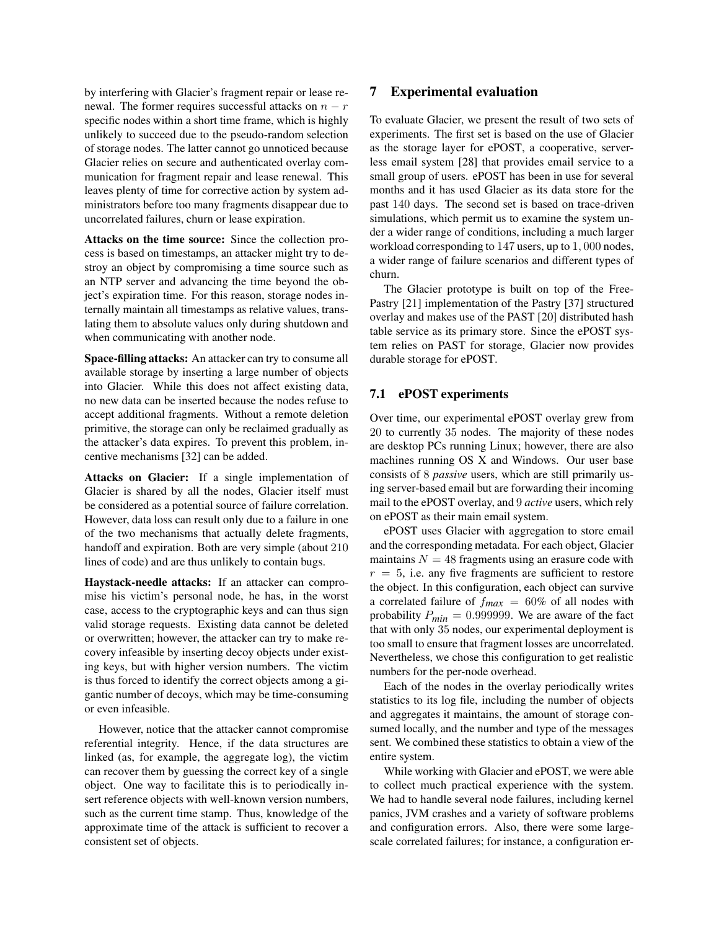by interfering with Glacier's fragment repair or lease renewal. The former requires successful attacks on  $n - r$ specific nodes within a short time frame, which is highly unlikely to succeed due to the pseudo-random selection of storage nodes. The latter cannot go unnoticed because Glacier relies on secure and authenticated overlay communication for fragment repair and lease renewal. This leaves plenty of time for corrective action by system administrators before too many fragments disappear due to uncorrelated failures, churn or lease expiration.

**Attacks on the time source:** Since the collection process is based on timestamps, an attacker might try to destroy an object by compromising a time source such as an NTP server and advancing the time beyond the object's expiration time. For this reason, storage nodes internally maintain all timestamps as relative values, translating them to absolute values only during shutdown and when communicating with another node.

**Space-filling attacks:** An attacker can try to consume all available storage by inserting a large number of objects into Glacier. While this does not affect existing data, no new data can be inserted because the nodes refuse to accept additional fragments. Without a remote deletion primitive, the storage can only be reclaimed gradually as the attacker's data expires. To prevent this problem, incentive mechanisms [32] can be added.

**Attacks on Glacier:** If a single implementation of Glacier is shared by all the nodes, Glacier itself must be considered as a potential source of failure correlation. However, data loss can result only due to a failure in one of the two mechanisms that actually delete fragments, handoff and expiration. Both are very simple (about 210 lines of code) and are thus unlikely to contain bugs.

**Haystack-needle attacks:** If an attacker can compromise his victim's personal node, he has, in the worst case, access to the cryptographic keys and can thus sign valid storage requests. Existing data cannot be deleted or overwritten; however, the attacker can try to make recovery infeasible by inserting decoy objects under existing keys, but with higher version numbers. The victim is thus forced to identify the correct objects among a gigantic number of decoys, which may be time-consuming or even infeasible.

However, notice that the attacker cannot compromise referential integrity. Hence, if the data structures are linked (as, for example, the aggregate log), the victim can recover them by guessing the correct key of a single object. One way to facilitate this is to periodically insert reference objects with well-known version numbers, such as the current time stamp. Thus, knowledge of the approximate time of the attack is sufficient to recover a consistent set of objects.

## **7 Experimental evaluation**

To evaluate Glacier, we present the result of two sets of experiments. The first set is based on the use of Glacier as the storage layer for ePOST, a cooperative, serverless email system [28] that provides email service to a small group of users. ePOST has been in use for several months and it has used Glacier as its data store for the past 140 days. The second set is based on trace-driven simulations, which permit us to examine the system under a wider range of conditions, including a much larger workload corresponding to 147 users, up to 1, 000 nodes, a wider range of failure scenarios and different types of churn.

The Glacier prototype is built on top of the Free-Pastry [21] implementation of the Pastry [37] structured overlay and makes use of the PAST [20] distributed hash table service as its primary store. Since the ePOST system relies on PAST for storage, Glacier now provides durable storage for ePOST.

## **7.1 ePOST experiments**

Over time, our experimental ePOST overlay grew from 20 to currently 35 nodes. The majority of these nodes are desktop PCs running Linux; however, there are also machines running OS X and Windows. Our user base consists of 8 *passive* users, which are still primarily using server-based email but are forwarding their incoming mail to the ePOST overlay, and 9 *active* users, which rely on ePOST as their main email system.

ePOST uses Glacier with aggregation to store email and the corresponding metadata. For each object, Glacier maintains  $N = 48$  fragments using an erasure code with  $r = 5$ , i.e. any five fragments are sufficient to restore the object. In this configuration, each object can survive a correlated failure of f*max* = 60% of all nodes with probability  $P_{min} = 0.999999$ . We are aware of the fact that with only 35 nodes, our experimental deployment is too small to ensure that fragment losses are uncorrelated. Nevertheless, we chose this configuration to get realistic numbers for the per-node overhead.

Each of the nodes in the overlay periodically writes statistics to its log file, including the number of objects and aggregates it maintains, the amount of storage consumed locally, and the number and type of the messages sent. We combined these statistics to obtain a view of the entire system.

While working with Glacier and ePOST, we were able to collect much practical experience with the system. We had to handle several node failures, including kernel panics, JVM crashes and a variety of software problems and configuration errors. Also, there were some largescale correlated failures; for instance, a configuration er-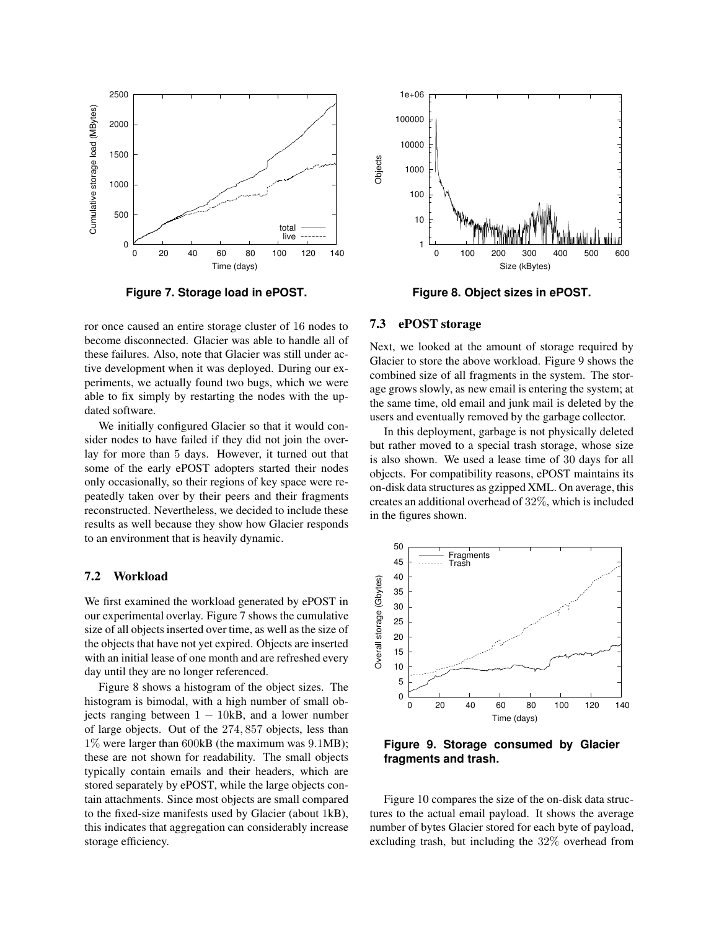

**Figure 7. Storage load in ePOST.**

ror once caused an entire storage cluster of 16 nodes to become disconnected. Glacier was able to handle all of these failures. Also, note that Glacier was still under active development when it was deployed. During our experiments, we actually found two bugs, which we were able to fix simply by restarting the nodes with the updated software.

We initially configured Glacier so that it would consider nodes to have failed if they did not join the overlay for more than 5 days. However, it turned out that some of the early ePOST adopters started their nodes only occasionally, so their regions of key space were repeatedly taken over by their peers and their fragments reconstructed. Nevertheless, we decided to include these results as well because they show how Glacier responds to an environment that is heavily dynamic.

#### **7.2 Workload**

We first examined the workload generated by ePOST in our experimental overlay. Figure 7 shows the cumulative size of all objects inserted over time, as well as the size of the objects that have not yet expired. Objects are inserted with an initial lease of one month and are refreshed every day until they are no longer referenced.

Figure 8 shows a histogram of the object sizes. The histogram is bimodal, with a high number of small objects ranging between  $1 - 10kB$ , and a lower number of large objects. Out of the 274, 857 objects, less than 1% were larger than 600kB (the maximum was 9.1MB); these are not shown for readability. The small objects typically contain emails and their headers, which are stored separately by ePOST, while the large objects contain attachments. Since most objects are small compared to the fixed-size manifests used by Glacier (about 1kB), this indicates that aggregation can considerably increase storage efficiency.



**Figure 8. Object sizes in ePOST.**

#### **7.3 ePOST storage**

Next, we looked at the amount of storage required by Glacier to store the above workload. Figure 9 shows the combined size of all fragments in the system. The storage grows slowly, as new email is entering the system; at the same time, old email and junk mail is deleted by the users and eventually removed by the garbage collector.

In this deployment, garbage is not physically deleted but rather moved to a special trash storage, whose size is also shown. We used a lease time of 30 days for all objects. For compatibility reasons, ePOST maintains its on-disk data structures as gzipped XML. On average, this creates an additional overhead of 32%, which is included in the figures shown.



**Figure 9. Storage consumed by Glacier fragments and trash.**

Figure 10 compares the size of the on-disk data structures to the actual email payload. It shows the average number of bytes Glacier stored for each byte of payload, excluding trash, but including the 32% overhead from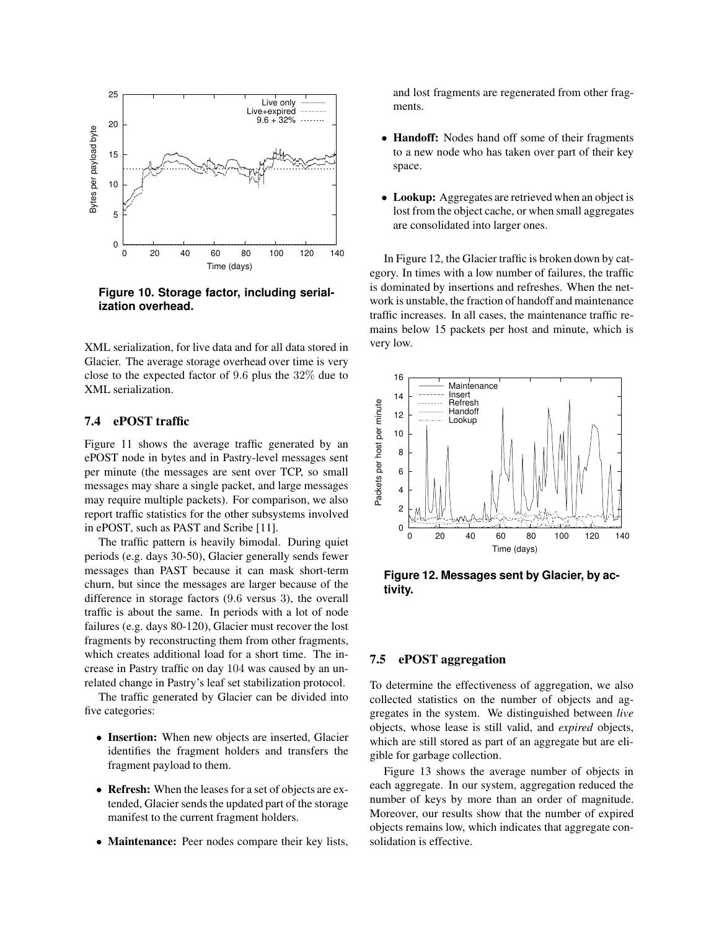

**Figure 10. Storage factor, including serialization overhead.**

XML serialization, for live data and for all data stored in Glacier. The average storage overhead over time is very close to the expected factor of 9.6 plus the 32% due to XML serialization.

## **7.4 ePOST traffic**

Figure 11 shows the average traffic generated by an ePOST node in bytes and in Pastry-level messages sent per minute (the messages are sent over TCP, so small messages may share a single packet, and large messages may require multiple packets). For comparison, we also report traffic statistics for the other subsystems involved in ePOST, such as PAST and Scribe [11].

The traffic pattern is heavily bimodal. During quiet periods (e.g. days 30-50), Glacier generally sends fewer messages than PAST because it can mask short-term churn, but since the messages are larger because of the difference in storage factors (9.6 versus 3), the overall traffic is about the same. In periods with a lot of node failures (e.g. days 80-120), Glacier must recover the lost fragments by reconstructing them from other fragments, which creates additional load for a short time. The increase in Pastry traffic on day 104 was caused by an unrelated change in Pastry's leaf set stabilization protocol.

The traffic generated by Glacier can be divided into five categories:

- **Insertion:** When new objects are inserted, Glacier identifies the fragment holders and transfers the fragment payload to them.
- **Refresh:** When the leases for a set of objects are extended, Glacier sends the updated part of the storage manifest to the current fragment holders.
- **Maintenance:** Peer nodes compare their key lists,

and lost fragments are regenerated from other fragments.

- **Handoff:** Nodes hand off some of their fragments to a new node who has taken over part of their key space.
- **Lookup:** Aggregates are retrieved when an object is lost from the object cache, or when small aggregates are consolidated into larger ones.

In Figure 12, the Glacier traffic is broken down by category. In times with a low number of failures, the traffic is dominated by insertions and refreshes. When the network is unstable, the fraction of handoff and maintenance traffic increases. In all cases, the maintenance traffic remains below 15 packets per host and minute, which is very low.



**Figure 12. Messages sent by Glacier, by activity.**

## **7.5 ePOST aggregation**

To determine the effectiveness of aggregation, we also collected statistics on the number of objects and aggregates in the system. We distinguished between *live* objects, whose lease is still valid, and *expired* objects, which are still stored as part of an aggregate but are eligible for garbage collection.

Figure 13 shows the average number of objects in each aggregate. In our system, aggregation reduced the number of keys by more than an order of magnitude. Moreover, our results show that the number of expired objects remains low, which indicates that aggregate consolidation is effective.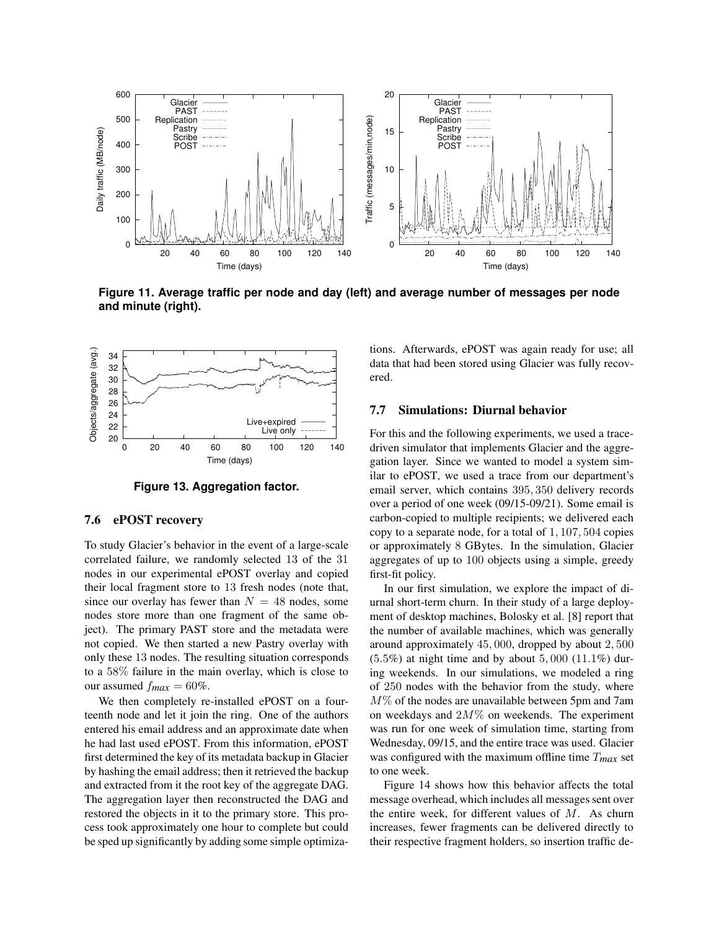

**Figure 11. Average traffic per node and day (left) and average number of messages per node and minute (right).**



**Figure 13. Aggregation factor.**

#### **7.6 ePOST recovery**

To study Glacier's behavior in the event of a large-scale correlated failure, we randomly selected 13 of the 31 nodes in our experimental ePOST overlay and copied their local fragment store to 13 fresh nodes (note that, since our overlay has fewer than  $N = 48$  nodes, some nodes store more than one fragment of the same object). The primary PAST store and the metadata were not copied. We then started a new Pastry overlay with only these 13 nodes. The resulting situation corresponds to a 58% failure in the main overlay, which is close to our assumed  $f_{max} = 60\%$ .

We then completely re-installed ePOST on a fourteenth node and let it join the ring. One of the authors entered his email address and an approximate date when he had last used ePOST. From this information, ePOST first determined the key of its metadata backup in Glacier by hashing the email address; then it retrieved the backup and extracted from it the root key of the aggregate DAG. The aggregation layer then reconstructed the DAG and restored the objects in it to the primary store. This process took approximately one hour to complete but could be sped up significantly by adding some simple optimizations. Afterwards, ePOST was again ready for use; all data that had been stored using Glacier was fully recovered.

## **7.7 Simulations: Diurnal behavior**

For this and the following experiments, we used a tracedriven simulator that implements Glacier and the aggregation layer. Since we wanted to model a system similar to ePOST, we used a trace from our department's email server, which contains 395, 350 delivery records over a period of one week (09/15-09/21). Some email is carbon-copied to multiple recipients; we delivered each copy to a separate node, for a total of 1, 107, 504 copies or approximately 8 GBytes. In the simulation, Glacier aggregates of up to 100 objects using a simple, greedy first-fit policy.

In our first simulation, we explore the impact of diurnal short-term churn. In their study of a large deployment of desktop machines, Bolosky et al. [8] report that the number of available machines, which was generally around approximately 45, 000, dropped by about 2, 500  $(5.5%)$  at night time and by about  $5,000$   $(11.1%)$  during weekends. In our simulations, we modeled a ring of 250 nodes with the behavior from the study, where M% of the nodes are unavailable between 5pm and 7am on weekdays and  $2M\%$  on weekends. The experiment was run for one week of simulation time, starting from Wednesday, 09/15, and the entire trace was used. Glacier was configured with the maximum offline time T*max* set to one week.

Figure 14 shows how this behavior affects the total message overhead, which includes all messages sent over the entire week, for different values of  $M$ . As churn increases, fewer fragments can be delivered directly to their respective fragment holders, so insertion traffic de-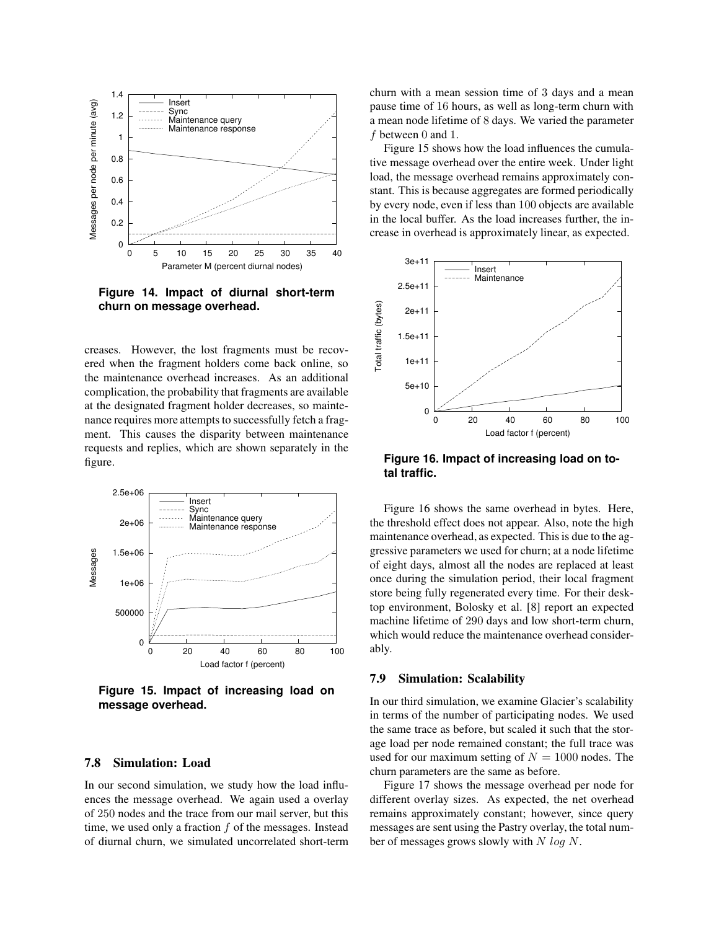

**Figure 14. Impact of diurnal short-term churn on message overhead.**

creases. However, the lost fragments must be recovered when the fragment holders come back online, so the maintenance overhead increases. As an additional complication, the probability that fragments are available at the designated fragment holder decreases, so maintenance requires more attempts to successfully fetch a fragment. This causes the disparity between maintenance requests and replies, which are shown separately in the figure.



**Figure 15. Impact of increasing load on message overhead.**

## **7.8 Simulation: Load**

In our second simulation, we study how the load influences the message overhead. We again used a overlay of 250 nodes and the trace from our mail server, but this time, we used only a fraction  $f$  of the messages. Instead of diurnal churn, we simulated uncorrelated short-term churn with a mean session time of 3 days and a mean pause time of 16 hours, as well as long-term churn with a mean node lifetime of 8 days. We varied the parameter f between 0 and 1.

Figure 15 shows how the load influences the cumulative message overhead over the entire week. Under light load, the message overhead remains approximately constant. This is because aggregates are formed periodically by every node, even if less than 100 objects are available in the local buffer. As the load increases further, the increase in overhead is approximately linear, as expected.



**Figure 16. Impact of increasing load on total traffic.**

Figure 16 shows the same overhead in bytes. Here, the threshold effect does not appear. Also, note the high maintenance overhead, as expected. This is due to the aggressive parameters we used for churn; at a node lifetime of eight days, almost all the nodes are replaced at least once during the simulation period, their local fragment store being fully regenerated every time. For their desktop environment, Bolosky et al. [8] report an expected machine lifetime of 290 days and low short-term churn, which would reduce the maintenance overhead considerably.

#### **7.9 Simulation: Scalability**

In our third simulation, we examine Glacier's scalability in terms of the number of participating nodes. We used the same trace as before, but scaled it such that the storage load per node remained constant; the full trace was used for our maximum setting of  $N = 1000$  nodes. The churn parameters are the same as before.

Figure 17 shows the message overhead per node for different overlay sizes. As expected, the net overhead remains approximately constant; however, since query messages are sent using the Pastry overlay, the total number of messages grows slowly with  $N \log N$ .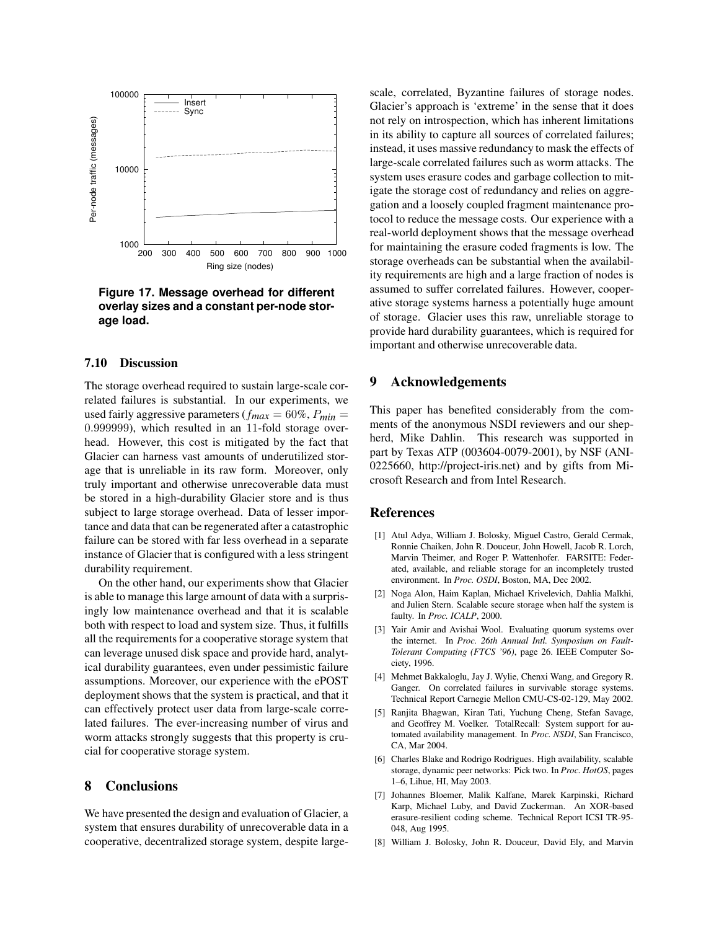

**Figure 17. Message overhead for different overlay sizes and a constant per-node storage load.**

#### **7.10 Discussion**

The storage overhead required to sustain large-scale correlated failures is substantial. In our experiments, we used fairly aggressive parameters ( $f_{max} = 60\%$ ,  $P_{min} =$ 0.999999), which resulted in an 11-fold storage overhead. However, this cost is mitigated by the fact that Glacier can harness vast amounts of underutilized storage that is unreliable in its raw form. Moreover, only truly important and otherwise unrecoverable data must be stored in a high-durability Glacier store and is thus subject to large storage overhead. Data of lesser importance and data that can be regenerated after a catastrophic failure can be stored with far less overhead in a separate instance of Glacier that is configured with a less stringent durability requirement.

On the other hand, our experiments show that Glacier is able to manage this large amount of data with a surprisingly low maintenance overhead and that it is scalable both with respect to load and system size. Thus, it fulfills all the requirements for a cooperative storage system that can leverage unused disk space and provide hard, analytical durability guarantees, even under pessimistic failure assumptions. Moreover, our experience with the ePOST deployment shows that the system is practical, and that it can effectively protect user data from large-scale correlated failures. The ever-increasing number of virus and worm attacks strongly suggests that this property is crucial for cooperative storage system.

## **8 Conclusions**

We have presented the design and evaluation of Glacier, a system that ensures durability of unrecoverable data in a cooperative, decentralized storage system, despite largescale, correlated, Byzantine failures of storage nodes. Glacier's approach is 'extreme' in the sense that it does not rely on introspection, which has inherent limitations in its ability to capture all sources of correlated failures; instead, it uses massive redundancy to mask the effects of large-scale correlated failures such as worm attacks. The system uses erasure codes and garbage collection to mitigate the storage cost of redundancy and relies on aggregation and a loosely coupled fragment maintenance protocol to reduce the message costs. Our experience with a real-world deployment shows that the message overhead for maintaining the erasure coded fragments is low. The storage overheads can be substantial when the availability requirements are high and a large fraction of nodes is assumed to suffer correlated failures. However, cooperative storage systems harness a potentially huge amount of storage. Glacier uses this raw, unreliable storage to provide hard durability guarantees, which is required for important and otherwise unrecoverable data.

## **9 Acknowledgements**

This paper has benefited considerably from the comments of the anonymous NSDI reviewers and our shepherd, Mike Dahlin. This research was supported in part by Texas ATP (003604-0079-2001), by NSF (ANI-0225660, http://project-iris.net) and by gifts from Microsoft Research and from Intel Research.

#### **References**

- [1] Atul Adya, William J. Bolosky, Miguel Castro, Gerald Cermak, Ronnie Chaiken, John R. Douceur, John Howell, Jacob R. Lorch, Marvin Theimer, and Roger P. Wattenhofer. FARSITE: Federated, available, and reliable storage for an incompletely trusted environment. In *Proc. OSDI*, Boston, MA, Dec 2002.
- [2] Noga Alon, Haim Kaplan, Michael Krivelevich, Dahlia Malkhi, and Julien Stern. Scalable secure storage when half the system is faulty. In *Proc. ICALP*, 2000.
- [3] Yair Amir and Avishai Wool. Evaluating quorum systems over the internet. In *Proc. 26th Annual Intl. Symposium on Fault-Tolerant Computing (FTCS '96)*, page 26. IEEE Computer Society, 1996.
- [4] Mehmet Bakkaloglu, Jay J. Wylie, Chenxi Wang, and Gregory R. Ganger. On correlated failures in survivable storage systems. Technical Report Carnegie Mellon CMU-CS-02-129, May 2002.
- [5] Ranjita Bhagwan, Kiran Tati, Yuchung Cheng, Stefan Savage, and Geoffrey M. Voelker. TotalRecall: System support for automated availability management. In *Proc. NSDI*, San Francisco, CA, Mar 2004.
- [6] Charles Blake and Rodrigo Rodrigues. High availability, scalable storage, dynamic peer networks: Pick two. In *Proc. HotOS*, pages 1–6, Lihue, HI, May 2003.
- [7] Johannes Bloemer, Malik Kalfane, Marek Karpinski, Richard Karp, Michael Luby, and David Zuckerman. An XOR-based erasure-resilient coding scheme. Technical Report ICSI TR-95- 048, Aug 1995.
- [8] William J. Bolosky, John R. Douceur, David Ely, and Marvin